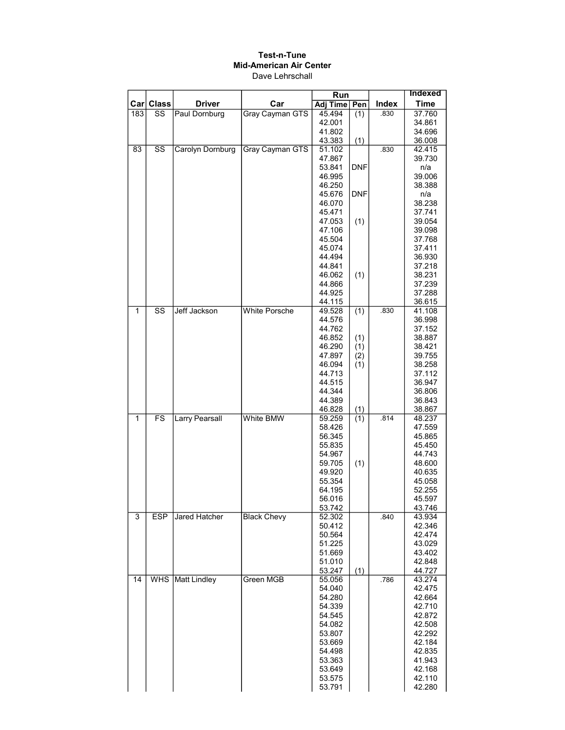|                  |                          |                       |                        | Run              |            |       | <b>Indexed</b>   |
|------------------|--------------------------|-----------------------|------------------------|------------------|------------|-------|------------------|
| Car <sub>l</sub> | <b>Class</b>             | <b>Driver</b>         | Car                    | <b>Adj Time</b>  | Pen        | Index | <b>Time</b>      |
| 183              | SS                       | Paul Dornburg         | Gray Cayman GTS        | 45.494           | (1)        | .830  | 37.760           |
|                  |                          |                       |                        | 42.001           |            |       | 34.861           |
|                  |                          |                       |                        | 41.802           |            |       | 34.696           |
|                  |                          |                       |                        | 43.383           | (1)        |       | 36.008           |
| 83               | $\overline{\text{ss}}$   | Carolyn Dornburg      | <b>Gray Cayman GTS</b> | 51.102           |            | .830  | 42.415           |
|                  |                          |                       |                        | 47.867           |            |       | 39.730           |
|                  |                          |                       |                        | 53.841           | <b>DNF</b> |       | n/a              |
|                  |                          |                       |                        | 46.995           |            |       | 39.006           |
|                  |                          |                       |                        | 46.250<br>45.676 | <b>DNF</b> |       | 38.388<br>n/a    |
|                  |                          |                       |                        | 46.070           |            |       | 38.238           |
|                  |                          |                       |                        | 45.471           |            |       | 37.741           |
|                  |                          |                       |                        | 47.053           | (1)        |       | 39.054           |
|                  |                          |                       |                        | 47.106           |            |       | 39.098           |
|                  |                          |                       |                        | 45.504           |            |       | 37.768           |
|                  |                          |                       |                        | 45.074           |            |       | 37.411           |
|                  |                          |                       |                        | 44.494           |            |       | 36.930           |
|                  |                          |                       |                        | 44.841           |            |       | 37.218           |
|                  |                          |                       |                        | 46.062           | (1)        |       | 38.231           |
|                  |                          |                       |                        | 44.866           |            |       | 37.239           |
|                  |                          |                       |                        | 44.925           |            |       | 37.288           |
| 1                | $\overline{\text{SS}}$   | Jeff Jackson          | <b>White Porsche</b>   | 44.115<br>49.528 | (1)        | .830  | 36.615<br>41.108 |
|                  |                          |                       |                        | 44.576           |            |       | 36.998           |
|                  |                          |                       |                        | 44.762           |            |       | 37.152           |
|                  |                          |                       |                        | 46.852           | (1)        |       | 38.887           |
|                  |                          |                       |                        | 46.290           | (1)        |       | 38.421           |
|                  |                          |                       |                        | 47.897           | (2)        |       | 39.755           |
|                  |                          |                       |                        | 46.094           | (1)        |       | 38.258           |
|                  |                          |                       |                        | 44.713           |            |       | 37.112           |
|                  |                          |                       |                        | 44.515           |            |       | 36.947           |
|                  |                          |                       |                        | 44.344           |            |       | 36.806           |
|                  |                          |                       |                        | 44.389           |            |       | 36.843           |
| $\overline{1}$   | $\overline{\mathsf{FS}}$ | <b>Larry Pearsall</b> | <b>White BMW</b>       | 46.828           | (1)        | .814  | 38.867           |
|                  |                          |                       |                        | 59.259<br>58.426 | (1)        |       | 48.237<br>47.559 |
|                  |                          |                       |                        | 56.345           |            |       | 45.865           |
|                  |                          |                       |                        | 55.835           |            |       | 45.450           |
|                  |                          |                       |                        | 54.967           |            |       | 44.743           |
|                  |                          |                       |                        | 59.705           | (1)        |       | 48.600           |
|                  |                          |                       |                        | 49.920           |            |       | 40.635           |
|                  |                          |                       |                        | 55.354           |            |       | 45.058           |
|                  |                          |                       |                        | 64.195           |            |       | 52.255           |
|                  |                          |                       |                        | 56.016           |            |       | 45.597           |
| 3                | <b>ESP</b>               | <b>Jared Hatcher</b>  | <b>Black Chevy</b>     | 53.742<br>52.302 |            | .840  | 43.746<br>43.934 |
|                  |                          |                       |                        | 50.412           |            |       | 42.346           |
|                  |                          |                       |                        | 50.564           |            |       | 42.474           |
|                  |                          |                       |                        | 51.225           |            |       | 43.029           |
|                  |                          |                       |                        | 51.669           |            |       | 43.402           |
|                  |                          |                       |                        | 51.010           |            |       | 42.848           |
|                  |                          |                       |                        | 53.247           | (1)        |       | 44.727           |
| 14               | <b>WHS</b>               | Matt Lindley          | Green MGB              | 55.056           |            | .786  | 43.274           |
|                  |                          |                       |                        | 54.040           |            |       | 42.475           |
|                  |                          |                       |                        | 54.280           |            |       | 42.664           |
|                  |                          |                       |                        | 54.339           |            |       | 42.710           |
|                  |                          |                       |                        | 54.545           |            |       | 42.872           |
|                  |                          |                       |                        | 54.082<br>53.807 |            |       | 42.508<br>42.292 |
|                  |                          |                       |                        | 53.669           |            |       | 42.184           |
|                  |                          |                       |                        | 54.498           |            |       | 42.835           |
|                  |                          |                       |                        | 53.363           |            |       | 41.943           |
|                  |                          |                       |                        | 53.649           |            |       | 42.168           |
|                  |                          |                       |                        | 53.575           |            |       | 42.110           |
|                  |                          |                       |                        | 53.791           |            |       | 42.280           |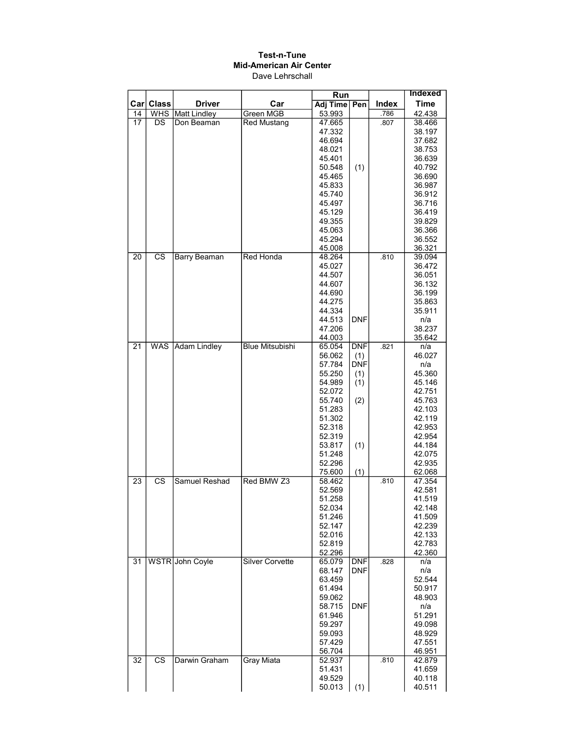|      |                        |                     |                        | <b>Run</b>       |            |              | <b>Indexed</b> |
|------|------------------------|---------------------|------------------------|------------------|------------|--------------|----------------|
| Carl | <b>Class</b>           | <b>Driver</b>       | Car                    | <b>Adj Time</b>  | Pen        | <b>Index</b> | <b>Time</b>    |
| 14   | <b>WHS</b>             | <b>Matt Lindley</b> | Green MGB              | 53.993           |            | .786         | 42.438         |
| 17   | DS                     | Don Beaman          | <b>Red Mustang</b>     | 47.665           |            | .807         | 38.466         |
|      |                        |                     |                        | 47.332           |            |              | 38.197         |
|      |                        |                     |                        | 46.694           |            |              | 37.682         |
|      |                        |                     |                        | 48.021           |            |              | 38.753         |
|      |                        |                     |                        | 45.401           |            |              | 36.639         |
|      |                        |                     |                        | 50.548           | (1)        |              | 40.792         |
|      |                        |                     |                        | 45.465           |            |              | 36.690         |
|      |                        |                     |                        | 45.833           |            |              | 36.987         |
|      |                        |                     |                        | 45.740           |            |              | 36.912         |
|      |                        |                     |                        | 45.497           |            |              | 36.716         |
|      |                        |                     |                        | 45.129           |            |              | 36.419         |
|      |                        |                     |                        | 49.355           |            |              | 39.829         |
|      |                        |                     |                        | 45.063           |            |              | 36.366         |
|      |                        |                     |                        | 45.294           |            |              | 36.552         |
|      |                        |                     |                        | 45.008           |            |              | 36.321         |
| 20   | $\overline{\text{cs}}$ | Barry Beaman        | Red Honda              | 48.264           |            | .810         | 39.094         |
|      |                        |                     |                        | 45.027           |            |              | 36.472         |
|      |                        |                     |                        | 44.507           |            |              | 36.051         |
|      |                        |                     |                        | 44.607           |            |              | 36.132         |
|      |                        |                     |                        | 44.690           |            |              | 36.199         |
|      |                        |                     |                        | 44.275           |            |              | 35.863         |
|      |                        |                     |                        | 44.334           |            |              | 35.911         |
|      |                        |                     |                        | 44.513           | <b>DNF</b> |              | n/a            |
|      |                        |                     |                        | 47.206           |            |              | 38.237         |
|      |                        | <b>Adam Lindley</b> |                        | 44.003           |            | .821         | 35.642         |
| 21   | <b>WAS</b>             |                     | <b>Blue Mitsubishi</b> | 65.054<br>56.062 | <b>DNF</b> |              | n/a            |
|      |                        |                     |                        |                  | (1)        |              | 46.027<br>n/a  |
|      |                        |                     |                        | 57.784<br>55.250 | <b>DNF</b> |              | 45.360         |
|      |                        |                     |                        | 54.989           | (1)<br>(1) |              | 45.146         |
|      |                        |                     |                        | 52.072           |            |              | 42.751         |
|      |                        |                     |                        | 55.740           | (2)        |              | 45.763         |
|      |                        |                     |                        | 51.283           |            |              | 42.103         |
|      |                        |                     |                        | 51.302           |            |              | 42.119         |
|      |                        |                     |                        | 52.318           |            |              | 42.953         |
|      |                        |                     |                        | 52.319           |            |              | 42.954         |
|      |                        |                     |                        | 53.817           | (1)        |              | 44.184         |
|      |                        |                     |                        | 51.248           |            |              | 42.075         |
|      |                        |                     |                        | 52.296           |            |              | 42.935         |
|      |                        |                     |                        | 75.600           | (1)        |              | 62.068         |
| 23   | <b>CS</b>              | Samuel Reshad       | Red BMW Z3             | 58.462           |            | .810         | 47.354         |
|      |                        |                     |                        | 52.569           |            |              | 42.581         |
|      |                        |                     |                        | 51.258           |            |              | 41.519         |
|      |                        |                     |                        | 52.034           |            |              | 42.148         |
|      |                        |                     |                        | 51.246           |            |              | 41.509         |
|      |                        |                     |                        | 52.147           |            |              | 42.239         |
|      |                        |                     |                        | 52.016           |            |              | 42.133         |
|      |                        |                     |                        | 52.819           |            |              | 42.783         |
|      |                        |                     |                        | 52.296           |            |              | 42.360         |
| 31   |                        | WSTR John Coyle     | <b>Silver Corvette</b> | 65.079           | <b>DNF</b> | .828         | n/a            |
|      |                        |                     |                        | 68.147           | <b>DNF</b> |              | n/a            |
|      |                        |                     |                        | 63.459           |            |              | 52.544         |
|      |                        |                     |                        | 61.494           |            |              | 50.917         |
|      |                        |                     |                        | 59.062           |            |              | 48.903         |
|      |                        |                     |                        | 58.715           | DNF        |              | n/a            |
|      |                        |                     |                        | 61.946           |            |              | 51.291         |
|      |                        |                     |                        | 59.297           |            |              | 49.098         |
|      |                        |                     |                        | 59.093           |            |              | 48.929         |
|      |                        |                     |                        | 57.429           |            |              | 47.551         |
|      |                        |                     |                        | 56.704           |            |              | 46.951         |
| 32   | $\overline{\text{cs}}$ | Darwin Graham       | Gray Miata             | 52.937           |            | .810         | 42.879         |
|      |                        |                     |                        | 51.431           |            |              | 41.659         |
|      |                        |                     |                        | 49.529           |            |              | 40.118         |
|      |                        |                     |                        | 50.013           | (1)        |              | 40.511         |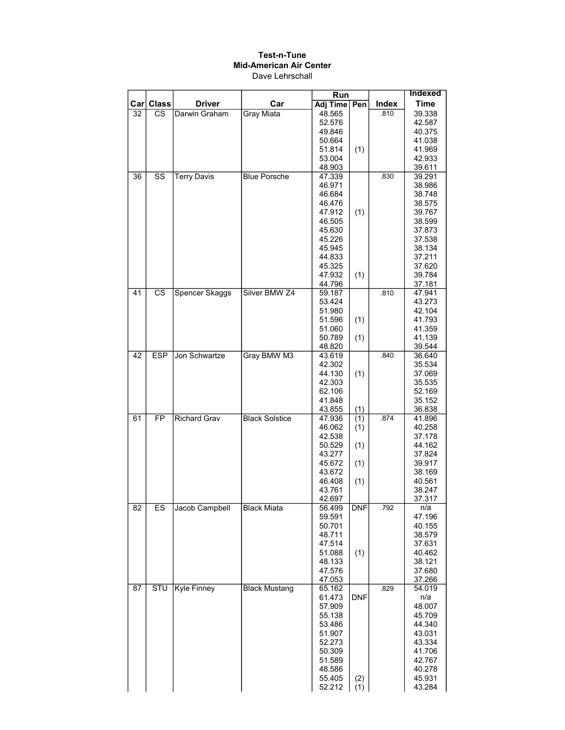|     |                        |                       |                       |                  | Run        |       | <b>Indexed</b>   |
|-----|------------------------|-----------------------|-----------------------|------------------|------------|-------|------------------|
| Car | <b>Class</b>           | <b>Driver</b>         | Car                   | Adj Time         | Pen        | Index | <b>Time</b>      |
| 32  | СS                     | Darwin Graham         | <b>Grav Miata</b>     | 48.565           |            | .810  | 39.338           |
|     |                        |                       |                       | 52.576           |            |       | 42.587           |
|     |                        |                       |                       | 49.846           |            |       | 40.375           |
|     |                        |                       |                       | 50.664           |            |       | 41.038           |
|     |                        |                       |                       | 51.814           | (1)        |       | 41.969           |
|     |                        |                       |                       | 53.004           |            |       | 42.933           |
|     |                        |                       |                       | 48.903           |            |       | 39.611           |
| 36  | $\overline{\text{ss}}$ | <b>Terry Davis</b>    | <b>Blue Porsche</b>   | 47.339           |            | .830  | 39.291           |
|     |                        |                       |                       | 46.971<br>46.684 |            |       | 38.986<br>38.748 |
|     |                        |                       |                       | 46.476           |            |       | 38.575           |
|     |                        |                       |                       | 47.912           | (1)        |       | 39.767           |
|     |                        |                       |                       | 46.505           |            |       | 38.599           |
|     |                        |                       |                       | 45.630           |            |       | 37.873           |
|     |                        |                       |                       | 45.226           |            |       | 37.538           |
|     |                        |                       |                       | 45.945           |            |       | 38.134           |
|     |                        |                       |                       | 44.833           |            |       | 37.211           |
|     |                        |                       |                       | 45.325           |            |       | 37.620           |
|     |                        |                       |                       | 47.932           | (1)        |       | 39.784           |
|     |                        |                       |                       | 44.796           |            |       | 37.181           |
| 41  | $\overline{\text{cs}}$ | <b>Spencer Skaggs</b> | Silver BMW Z4         | 59.187           |            | .810  | 47.941           |
|     |                        |                       |                       | 53.424           |            |       | 43.273           |
|     |                        |                       |                       | 51.980           |            |       | 42.104           |
|     |                        |                       |                       | 51.596           | (1)        |       | 41.793           |
|     |                        |                       |                       | 51.060           |            |       | 41.359           |
|     |                        |                       |                       | 50.789           | (1)        |       | 41.139           |
|     |                        |                       |                       | 48.820           |            | .840  | 39.544           |
| 42  | <b>ESP</b>             | Jon Schwartze         | Gray BMW M3           | 43.619           |            |       | 36.640           |
|     |                        |                       |                       | 42.302<br>44.130 | (1)        |       | 35.534<br>37.069 |
|     |                        |                       |                       | 42.303           |            |       | 35.535           |
|     |                        |                       |                       | 62.106           |            |       | 52.169           |
|     |                        |                       |                       | 41.848           |            |       | 35.152           |
|     |                        |                       |                       | 43.855           | (1)        |       | 36.838           |
| 61  | $\overline{FP}$        | <b>Richard Grav</b>   | <b>Black Solstice</b> | 47.936           | (1)        | .874  | 41.896           |
|     |                        |                       |                       | 46.062           | (1)        |       | 40.258           |
|     |                        |                       |                       | 42.538           |            |       | 37.178           |
|     |                        |                       |                       | 50.529           | (1)        |       | 44.162           |
|     |                        |                       |                       | 43.277           |            |       | 37.824           |
|     |                        |                       |                       | 45.672           | (1)        |       | 39.917           |
|     |                        |                       |                       | 43.672           |            |       | 38.169           |
|     |                        |                       |                       | 46.408           | (1)        |       | 40.561           |
|     |                        |                       |                       | 43.761           |            |       | 38.247           |
| 82  | ES                     | Jacob Campbell        | <b>Black Miata</b>    | 42.697<br>56.499 | <b>DNF</b> | .792  | 37.317<br>n/a    |
|     |                        |                       |                       | 59.591           |            |       | 47.196           |
|     |                        |                       |                       | 50.701           |            |       | 40.155           |
|     |                        |                       |                       | 48.711           |            |       | 38.579           |
|     |                        |                       |                       | 47.514           |            |       | 37.631           |
|     |                        |                       |                       | 51.088           | (1)        |       | 40.462           |
|     |                        |                       |                       | 48.133           |            |       | 38.121           |
|     |                        |                       |                       | 47.576           |            |       | 37.680           |
|     |                        |                       |                       | 47.053           |            |       | 37.266           |
| 87  | <b>STU</b>             | Kyle Finney           | <b>Black Mustang</b>  | 65.162           |            | .829  | 54.019           |
|     |                        |                       |                       | 61.473           | <b>DNF</b> |       | n/a              |
|     |                        |                       |                       | 57.909           |            |       | 48.007           |
|     |                        |                       |                       | 55.138           |            |       | 45.709           |
|     |                        |                       |                       | 53.486           |            |       | 44.340           |
|     |                        |                       |                       | 51.907           |            |       | 43.031           |
|     |                        |                       |                       | 52.273           |            |       | 43.334           |
|     |                        |                       |                       | 50.309<br>51.589 |            |       | 41.706<br>42.767 |
|     |                        |                       |                       | 48.586           |            |       | 40.278           |
|     |                        |                       |                       | 55.405           | (2)        |       | 45.931           |
|     |                        |                       |                       | 52.212           | (1)        |       | 43.284           |
|     |                        |                       |                       |                  |            |       |                  |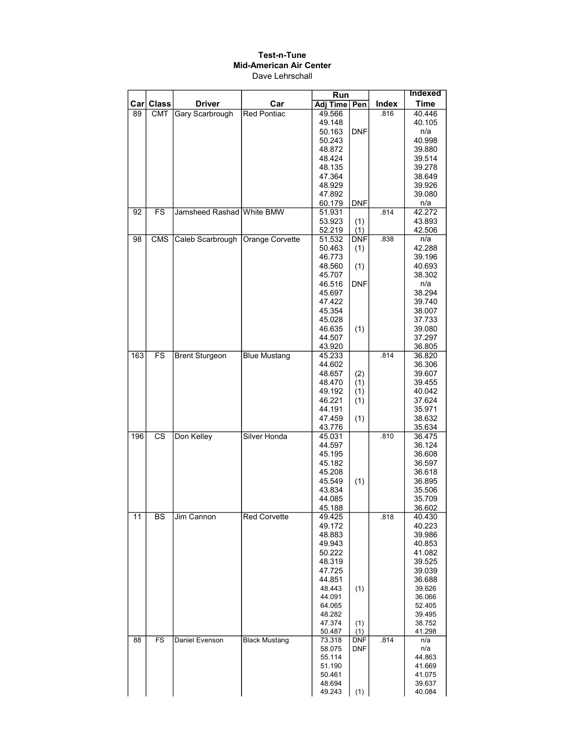|                  |                        |                           |                        | Run              |                          |              | <b>Indexed</b>   |
|------------------|------------------------|---------------------------|------------------------|------------------|--------------------------|--------------|------------------|
| Car <sub>l</sub> | <b>Class</b>           | <b>Driver</b>             | Car                    | <b>Adj Time</b>  | Pen                      | <b>Index</b> | <b>Time</b>      |
| 89               | <b>CMT</b>             | Gary Scarbrough           | <b>Red Pontiac</b>     | 49.566           |                          | .816         | 40.446           |
|                  |                        |                           |                        | 49.148           |                          |              | 40.105           |
|                  |                        |                           |                        | 50.163           | <b>DNF</b>               |              | n/a              |
|                  |                        |                           |                        | 50.243           |                          |              | 40.998           |
|                  |                        |                           |                        | 48.872           |                          |              | 39.880           |
|                  |                        |                           |                        | 48.424           |                          |              | 39.514           |
|                  |                        |                           |                        | 48.135           |                          |              | 39.278           |
|                  |                        |                           |                        | 47.364           |                          |              | 38.649           |
|                  |                        |                           |                        | 48.929           |                          |              | 39.926           |
|                  |                        |                           |                        | 47.892           |                          |              | 39.080           |
|                  | FS                     |                           |                        | 60.179           | <b>DNF</b>               | .814         | n/a              |
| 92               |                        | Jamsheed Rashad White BMW |                        | 51.931           |                          |              | 42.272           |
|                  |                        |                           |                        | 53.923           | (1)<br>(1)               |              | 43.893           |
| 98               | <b>CMS</b>             | Caleb Scarbrough          | <b>Orange Corvette</b> | 52.219<br>51.532 | <b>DNF</b>               | .838         | 42.506<br>n/a    |
|                  |                        |                           |                        | 50.463           | (1)                      |              | 42.288           |
|                  |                        |                           |                        | 46.773           |                          |              | 39.196           |
|                  |                        |                           |                        | 48.560           | (1)                      |              | 40.693           |
|                  |                        |                           |                        | 45.707           |                          |              | 38.302           |
|                  |                        |                           |                        | 46.516           | <b>DNF</b>               |              | n/a              |
|                  |                        |                           |                        | 45.697           |                          |              | 38.294           |
|                  |                        |                           |                        | 47.422           |                          |              | 39.740           |
|                  |                        |                           |                        | 45.354           |                          |              | 38.007           |
|                  |                        |                           |                        | 45.028           |                          |              | 37.733           |
|                  |                        |                           |                        | 46.635           | (1)                      |              | 39.080           |
|                  |                        |                           |                        | 44.507           |                          |              | 37.297           |
|                  |                        |                           |                        | 43.920           |                          |              | 36.805           |
| 163              | <b>FS</b>              | <b>Brent Sturgeon</b>     | <b>Blue Mustang</b>    | 45.233           |                          | .814         | 36.820           |
|                  |                        |                           |                        | 44.602           |                          |              | 36.306           |
|                  |                        |                           |                        | 48.657           | (2)                      |              | 39.607           |
|                  |                        |                           |                        | 48.470           | (1)                      |              | 39.455           |
|                  |                        |                           |                        | 49.192           | (1)                      |              | 40.042           |
|                  |                        |                           |                        | 46.221           | (1)                      |              | 37.624           |
|                  |                        |                           |                        | 44.191<br>47.459 | (1)                      |              | 35.971<br>38.632 |
|                  |                        |                           |                        | 43.776           |                          |              | 35.634           |
| 196              | $\overline{\text{cs}}$ | Don Kelley                | <b>Silver Honda</b>    | 45.031           |                          | .810         | 36.475           |
|                  |                        |                           |                        | 44.597           |                          |              | 36.124           |
|                  |                        |                           |                        | 45.195           |                          |              | 36.608           |
|                  |                        |                           |                        | 45.182           |                          |              | 36.597           |
|                  |                        |                           |                        | 45.208           |                          |              | 36.618           |
|                  |                        |                           |                        | 45.549           | (1)                      |              | 36.895           |
|                  |                        |                           |                        | 43.834           |                          |              | 35.506           |
|                  |                        |                           |                        | 44.085           |                          |              | 35.709           |
|                  |                        |                           |                        | 45.188           |                          |              | 36.602           |
| $\overline{11}$  | BS                     | Jim Cannon                | <b>Red Corvette</b>    | 49.425           |                          | .818         | 40.430           |
|                  |                        |                           |                        | 49.172           |                          |              | 40.223           |
|                  |                        |                           |                        | 48.883<br>49.943 |                          |              | 39.986<br>40.853 |
|                  |                        |                           |                        | 50.222           |                          |              | 41.082           |
|                  |                        |                           |                        | 48.319           |                          |              | 39.525           |
|                  |                        |                           |                        | 47.725           |                          |              | 39.039           |
|                  |                        |                           |                        | 44.851           |                          |              | 36.688           |
|                  |                        |                           |                        | 48.443           | (1)                      |              | 39.626           |
|                  |                        |                           |                        | 44.091           |                          |              | 36.066           |
|                  |                        |                           |                        | 64.065           |                          |              | 52.405           |
|                  |                        |                           |                        | 48.282           |                          |              | 39.495           |
|                  |                        |                           |                        | 47.374           | (1)                      |              | 38.752           |
|                  |                        |                           |                        | 50.487           | (1)                      |              | 41.298           |
| 88               | <b>FS</b>              | Daniel Evenson            | <b>Black Mustang</b>   | 73.318<br>58.075 | <b>DNF</b><br><b>DNF</b> | .814         | n/a<br>n/a       |
|                  |                        |                           |                        | 55.114           |                          |              | 44.863           |
|                  |                        |                           |                        | 51.190           |                          |              | 41.669           |
|                  |                        |                           |                        | 50.461           |                          |              | 41.075           |
|                  |                        |                           |                        | 48.694           |                          |              | 39.637           |
|                  |                        |                           |                        | 49.243           | (1)                      |              | 40.084           |